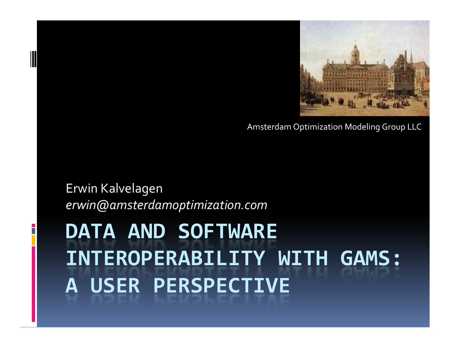# DATA AND SOFTWARE INTEROPERABILITY WITH GAMS: A USER PERSPECTIVE

Erwin Kalvelagenerwin@amsterdamoptimization.com

Amsterdam Optimization Modeling Group LLC

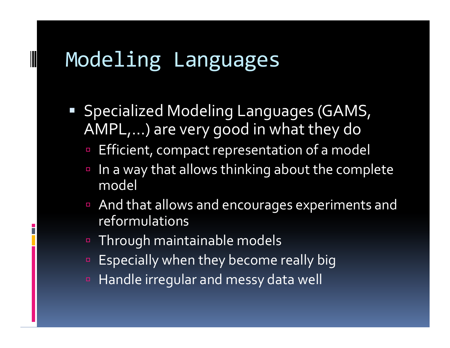# Modeling Languages

- Specialized Modeling Languages (GAMS, AMPL,…) are very good in what they do
	- **Efficient, compact representation of a model** -
	- - In a way that allows thinking about the complete model
	- - And that allows and encourages experiments and reformulations
	- -Through maintainable models
	- Especially when they become really big
	- Handle irregular and messy data well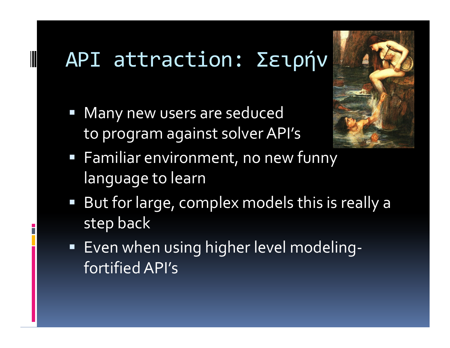# API attraction: Σειρήν

**■ Many new users are seduced** to program against solver API's



- Familiar environment, no new funny language to learn
- But for large, complex models this is really a step back
- Even when using higher level modelingfortified API's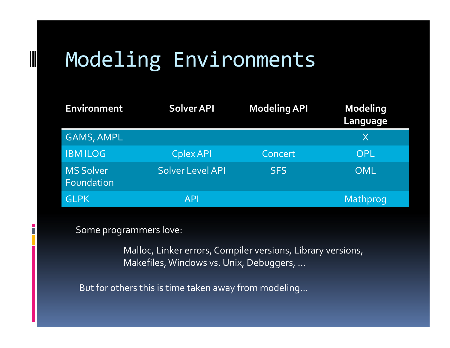# Modeling Environments

| <b>Environment</b>             | Solver API       | <b>Modeling API</b> | <b>Modeling</b><br>Language |
|--------------------------------|------------------|---------------------|-----------------------------|
| <b>GAMS, AMPL</b>              |                  |                     | X                           |
| <b>IBM ILOG</b>                | Cplex API        | Concert             | OPL                         |
| <b>MS Solver</b><br>Foundation | Solver Level API | <b>SFS</b>          | <b>OML</b>                  |
| <b>GLPK</b>                    | <b>API</b>       |                     | Mathprog                    |

Some programmers love:

Malloc, Linker errors, Compiler versions, Library versions, Makefiles, Windows vs. Unix, Debuggers, …

But for others this is time taken away from modeling…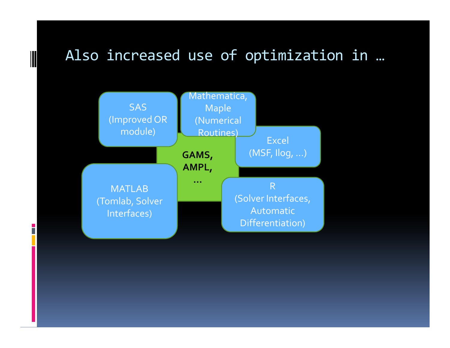### Also increased use of optimization in …



 $\parallel$ 

i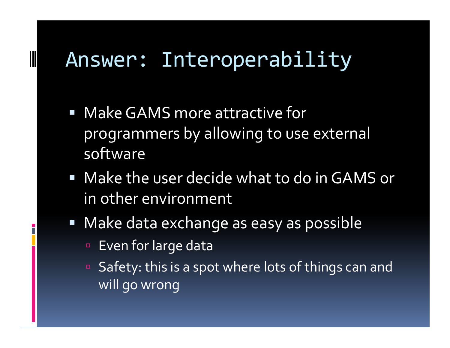# Answer: Interoperability

- Make GAMS more attractive for programmers by allowing to use external software
- Make the user decide what to do in GAMS or in other environment
- Make data exchange as easy as possible
	- Even for large data

□ Safety: this is a spot where lots of things can and will go wrong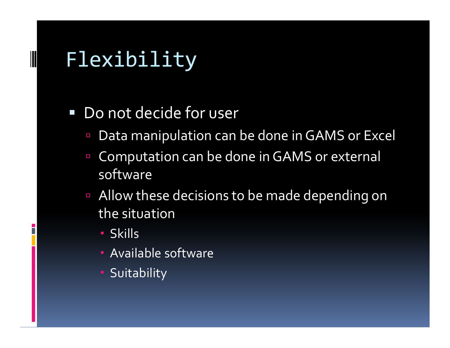# Flexibility

- Do not decide for user
	- -Data manipulation can be done in GAMS or Excel
	- - Computation can be done in GAMS or external software
	- - Allow these decisions to be made depending on the situation
		- Skills
		- Available software
		- **-** Suitability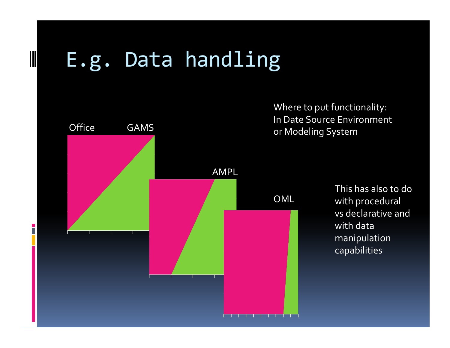# E.g. Data handling



Where to put functionality: In Date Source Environmentor Modeling System

> This has also to dowith procedural vs declarative andwith data manipulationcapabilities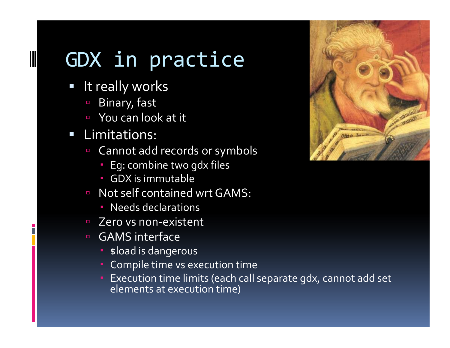# GDX in practice

 $\Box$ It really works

- -Binary, fast
- You can look at it
- **Example 1** Limitations:
	- - Cannot add records or symbols
		- Eg: combine two gdx files
		- GDX is immutable
	- Not self contained wrt GAMS:
		- Needs declarations
	- □ Zero vs non-existent
	- GAMS interface
		- **B**  $\bullet$  sload is dangerous
		- Compile time vs execution time
		- Execution time limits (each call separate gdx, cannot add set elements at execution time)

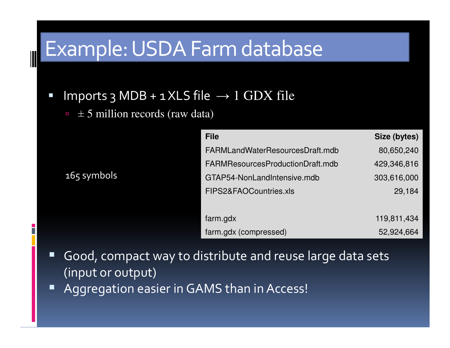# Example: USDA Farm database

- $\blacksquare$  Imports 3 MDB + 1 XLS file  $\rightarrow$  1 GDX file
	- $\pm$  5 million records (raw data)

165 symbols

| <b>File</b>                      | Size (bytes) |
|----------------------------------|--------------|
| FARMLandWaterResourcesDraft.mdb  | 80,650,240   |
| FARMResourcesProductionDraft.mdb | 429,346,816  |
| GTAP54-NonLandIntensive.mdb      | 303,616,000  |
| FIPS2&FAOCountries.xls           | 29,184       |
|                                  |              |
| farm.gdx                         | 119,811,434  |
| farm.gdx (compressed)            | 52,924,664   |

- $\blacksquare$  Good, compact way to distribute and reuse large data sets (input or output)
- $\blacksquare$ Aggregation easier in GAMS than in Access!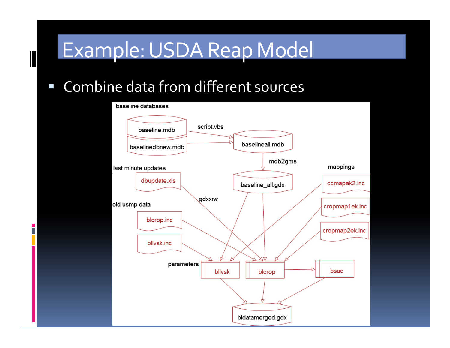# Example: USDA Reap Model

#### Combine data from different sources

B

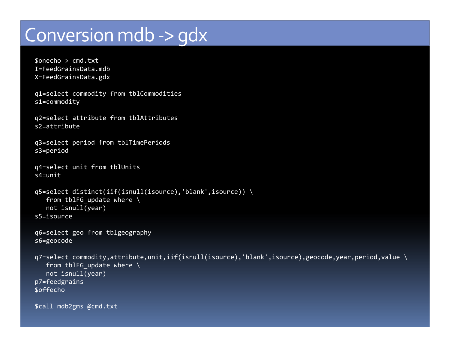### Conversion mdb -> gdx

```
$onecho > cmd.txt
I=FeedGrainsData.mdb
X=FeedGrainsData.gdx
```

```
q1=select commodity from tblCommoditiess1=commodity
```

```
q2=select attribute from tblAttributess2=attribute
```

```
q3=select period from tblTimePeriodss3=period
```

```
q4=select unit from tblUnitss4=unit
```

```
q5=select distinct(iif(isnull(isource),'blank',isource)) \from tblFG update where \
  not isnull(year)s5=isource
```

```
q6=select geo from tblgeographys6=geocode
```

```
q7=select commodity,attribute,unit,iif(isnull(isource),'blank',isource),geocode,year,period,value \
  from tblFG update where \
  not isnull(year)p7=feedgrains$offecho
```
\$call mdb2gms @cmd.txt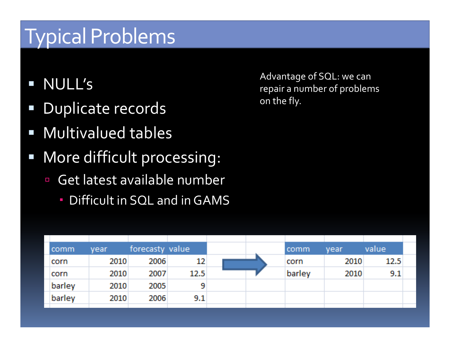# Typical Problems

- $\mathcal{L}^{\mathcal{A}}$ NULL's
- Duplicate records
- $\mathbb{R}^n$ Multivalued tables
- $\Box$  More difficult processing:
	- - Get latest available number
		- Difficult in SQL and in GAMS

Advantage of SQL: we can repair a number of problemson the fly.

| comm   | vear | forecasty value |      |  | comm   | year | value |  |
|--------|------|-----------------|------|--|--------|------|-------|--|
| corn   | 2010 | 2006            | 12   |  | corn   | 2010 | 12.5  |  |
| corn   | 2010 | 2007            | 12.5 |  | barley | 2010 | 9.1   |  |
| barley | 2010 | 2005            | 9    |  |        |      |       |  |
| barley | 2010 | 2006            | 9.1  |  |        |      |       |  |
|        |      |                 |      |  |        |      |       |  |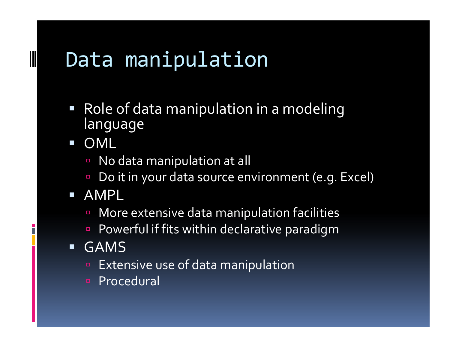# Data manipulation

 Role of data manipulation in a modeling language

 $\mathcal{L}_{\mathcal{A}}$ OML

- No data manipulation at all -
- -Do it in your data source environment (e.g. Excel)

### AMPL

- **n** More extensive data manipulation facilities -
- **Powerful if fits within declarative paradigm** -
- $\blacksquare$  GAMS
	- **Extensive use of data manipulation**
	- n Procedural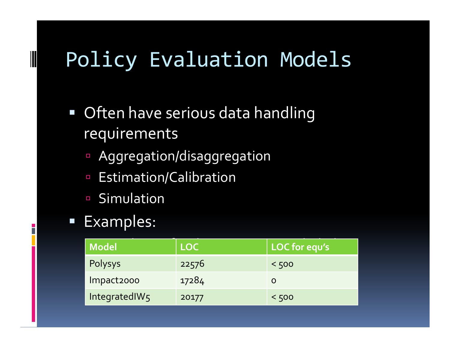# Policy Evaluation Models

- Often have serious data handling requirements
	- -Aggregation/disaggregation
	- $\Box$ Estimation/Calibration
	- -Simulation

#### Examples:

| Model          | <b>LOC</b> | LOC for equ's |
|----------------|------------|---------------|
| <b>Polysys</b> | 22576      | < 500         |
| Impact2000     | 17284      |               |
| IntegratedIW5  | 20177      | < 500         |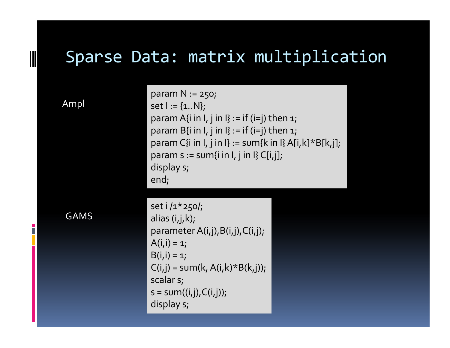### Sparse Data: matrix multiplication

Ampl

param N := 250; set  $I := \{1..N\}$ ; param A $\{i$  in I,  $j$  in I $\}$  := if (i=j) then  $1$ ; param B{i in I, j in I} := if (i=j) then  $1$ ; param C{i in I, j in I} := sum{k in I} A[i,k]\*B[k,j]; param  $s := sum\{i \in I, j \in I\}$  C[i,j]; display s;end;

GAMS

set i /1\*250/; alias (i,j,k);parameter  $A(i,j),B(i,j),C(i,j);$  $A(i, i) = 1;$  $B(i, i) = 1;$  $C(i,j)$  = sum(k, A(i,k)\*B(k,j)); scalar s; $s = sum((i,j), C(i,j));$ display s;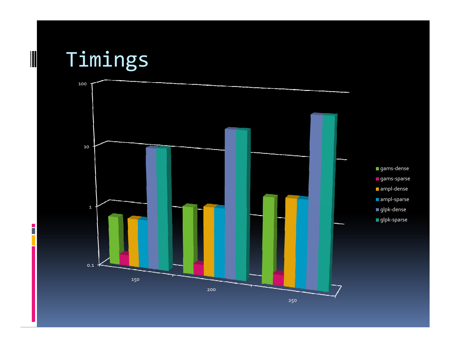

Ē

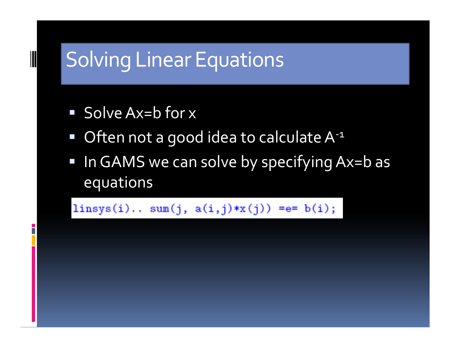# Solving Linear Equations

■ Solve Ax=b for x

- Often not a good idea to calculate A<sup>-1</sup>
- In GAMS we can solve by specifying Ax=b as equations

linsys(i).. sum(j,  $a(i,j)*x(j)$ ) =e= b(i);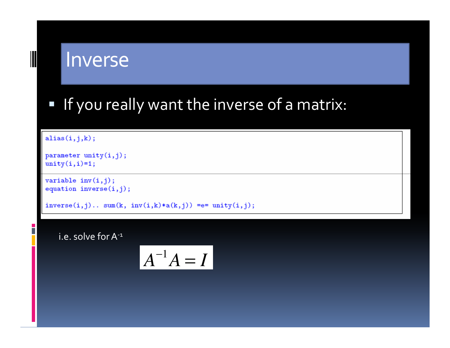

$$
A^{-1}A=I
$$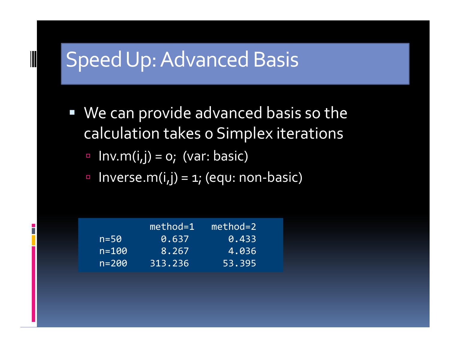# Speed Up: Advanced Basis

 We can provide advanced basis so the calculation takes 0 Simplex iterations

- $Inv.m(i,j) = o;$  (var: basic)

- $\textcolor{red}{\bullet}$  Inverse.m(i,j) = 1; (equ: non-basic)

|           | $method=1$ | $method = 2$ |
|-----------|------------|--------------|
| $n = 50$  | 10.637     | 0.433        |
| $n = 100$ | 8.267      | 4.036        |
| $n = 200$ | 313.236    | 53.395       |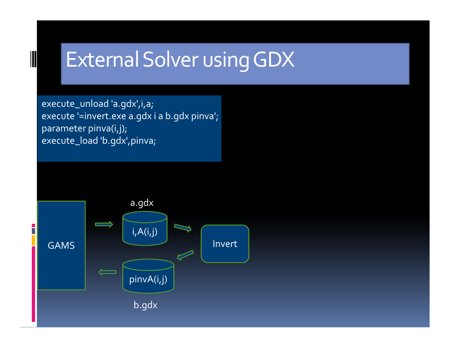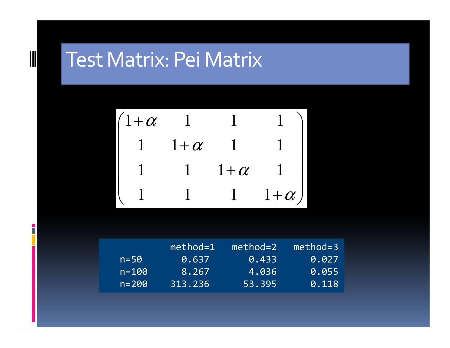# Test Matrix: Pei Matrix

$$
\begin{pmatrix}\n1+\alpha & 1 & 1 & 1 \\
1 & 1+\alpha & 1 & 1 \\
1 & 1 & 1+\alpha & 1 \\
1 & 1 & 1 & 1+\alpha\n\end{pmatrix}
$$

|           | $method=1$ | method=2 | method=3 |
|-----------|------------|----------|----------|
| $n = 50$  | 0.637      | 0.433    | 0.027    |
| $n = 100$ | 8.267      | 14.036   | 0.055    |
| $n = 200$ | 313.236    | 53.395   | 0.118    |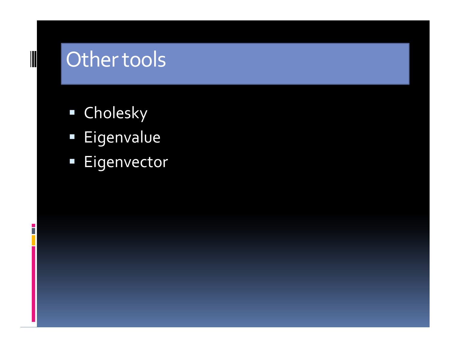# Other tools

Ī

- Cholesky
- **Eigenvalue**
- $\blacksquare$  Eigenvector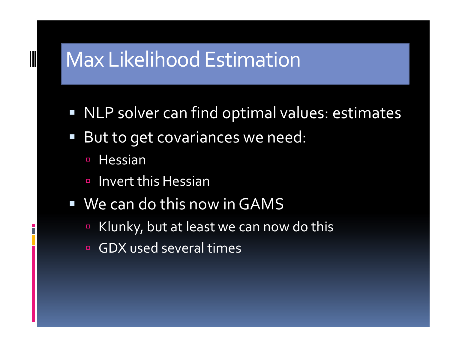# Max Likelihood Estimation

- $\Box$ NLP solver can find optimal values: estimates
- But to get covariances we need:
	- -Hessian

- -Invert this Hessian
- We can do this now in GAMS
	- -Klunky, but at least we can now do this
	- $\Box$ GDX used several times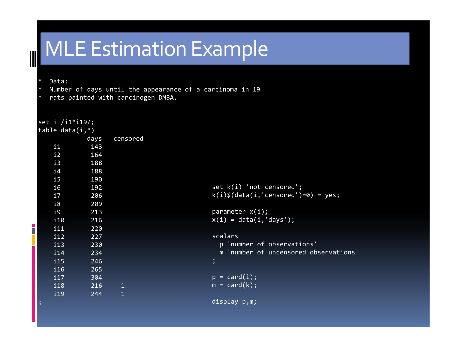# MLE Estimation Example

\* Data:

- \* Number of days until the appearance of a carcinoma in 19
- \* rats painted with carcinogen DMBA.

| set i /i1*i19/;    |      |              |                                        |
|--------------------|------|--------------|----------------------------------------|
| table data $(i,*)$ |      |              |                                        |
|                    | days | censored     |                                        |
| $\mathbf{i}$       | 143  |              |                                        |
| i2                 | 164  |              |                                        |
| i3                 | 188  |              |                                        |
| i4                 | 188  |              |                                        |
| $\mathbf{i}$       | 190  |              |                                        |
| i6                 | 192  |              | set $k(i)$ 'not censored';             |
| i7                 | 206  |              | $k(i)$ \$(data(i,'censored')=0) = yes; |
| i8                 | 209  |              |                                        |
| i9                 | 213  |              | parameter $x(i)$ ;                     |
| i10                | 216  |              | $x(i) = data(i, 'days');$              |
| i11                | 220  |              |                                        |
| 112                | 227  |              | scalars                                |
| i13                | 230  |              | p 'number of observations'             |
| i14                | 234  |              | m 'number of uncensored observations'  |
| i15                | 246  |              | $\mathbf{.}$                           |
| 116                | 265  |              |                                        |
| 117                | 304  |              | $p = card(i);$                         |
| i18                | 216  | $\mathbf{1}$ | $m = card(k);$                         |
| i19                | 244  | $\mathbf{1}$ |                                        |
| ۔<br>اد            |      |              | display p,m;                           |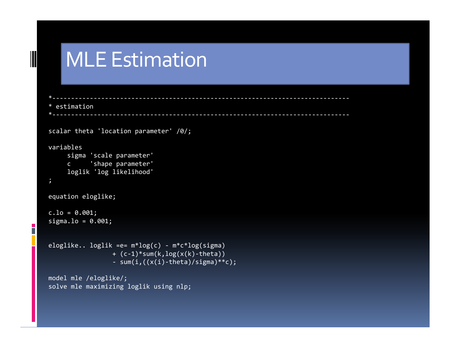# MLE Estimation

 $\parallel$ 

n

```
*------------------------------------------------------------------------------- * estimation*-------------------------------------------------------------------------------scalar theta 'location parameter' /0/;variables
sigma 'scale parameter'
c 'shape parameter'
loglik 'log likelihood'
;equation eloglike;c.1o = 0.001;
sigma.lo = 0.001;eloglike.. loglik =e= m*log(c) - m*c*log(sigma)
+ (c-1)*sum(k,log(x(k)-theta))
- sum(i,((x(i)-theta)/sigma)**c);model mle /eloglike/;
solve mle maximizing loglik using nlp;
```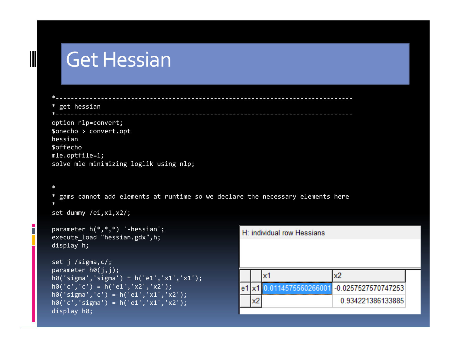### Get Hessian

n.

```
*------------------------------------------------------------------------------- * get hessian*------------------------------------------------------------------------------- option nlp=convert;
$onecho > convert.opthessian
$offecho
mle.optfile=1;
solve mle minimizing loglik using nlp;*gams cannot add elements at runtime so we declare the necessary elements here
\ast*
set dummy /e1,x1,x2/;parameter h(*,*,*) '-hessian';H: individual row Hessians

execute_load "hessian.gdx",h;display h;set j /sigma,c/;
parameter h0(j,j);x1x2

h0('sigma','sigma') = h('e1','x1','x1');h\theta('c', 'c') = h('e1', 'x2', 'x2');
                                                    e1 x1 0.0114575560266001 -0.0257527570747253

h0('sigma','c') = h('e1','x1','x2');x20.934221386133885

h0('c','sigma') = h('e1','x1','x2');display h0;
```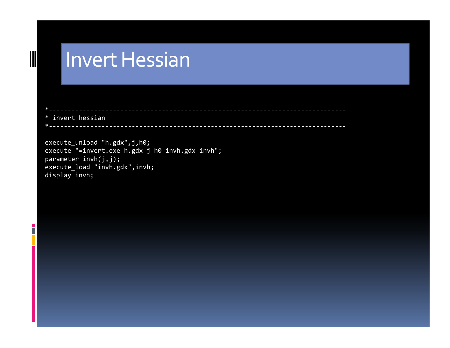### Invert Hessian

\* invert hessian

Г

\*-------------------------------------------------------------------------------

\*-------------------------------------------------------------------------------

execute\_unload "h.gdx",j,h0; execute "=invert.exe h.gdx j h0 invh.gdx invh";parameter invh(j,j); execute\_load "invh.gdx",invh;display invh;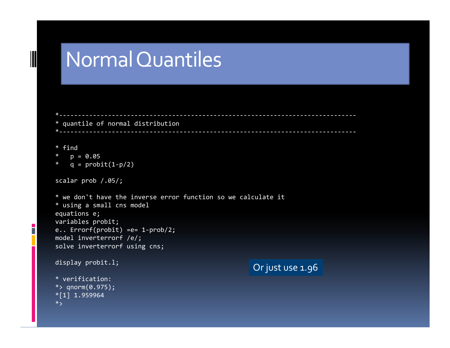### Normal Quantiles

```
*------------------------------------------------------------------------------- * quantile of normal distribution
*-------------------------------------------------------------------------------* find
* p = 0.05
* q = probit(1-p/2)scalar prob /.05/;* we don't have the inverse error function so we calculate it* using a small cns model
```

```
equations e;
variables probit;
e.. Errorf(probit) =e= 1-prob/2;model inverterrorf /e/;
solve inverterrorf using cns;display probit.l;
```

```
* verification:
*> qnorm(0.975);*\overline{[1]} 1.959964
*>
```
 $\parallel$ 

n

```
Or just use 1.96
```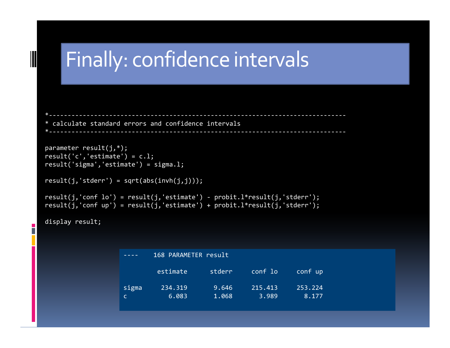```
Finally: confidence intervals*------------------------------------------------------------------------------- * calculate standard errors and confidence intervals

*-------------------------------------------------------------------------------parameter result(j,*);

result('c','estimate') = c.l;
result('sigma','estimate') = sigma.l;result(j,'stderr') = sqrt(abs(intvh(j,j)));
result(j,'conf lo') = result(j,'estimate') - probit.l*result(j,'stderr');
result(j,'conf up') = result(j,'estimate') + probit.l*result(j,'stderr');display result;
```
 $\parallel$ 

|       | 168 PARAMETER result |        |         |         |
|-------|----------------------|--------|---------|---------|
|       | estimate             | stderr | conf lo | conf up |
| sigma | 234.319              | 9.646  | 215.413 | 253.224 |
| c     | 6.083                | 1.068  | 3.989   | 8.177   |
|       |                      |        |         |         |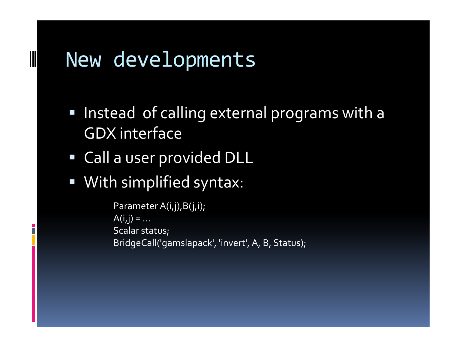# New developments

- $\Box$  Instead of calling external programs with a GDX interface
- Call a user provided DLL
- With simplified syntax:

Parameter A(i,j), B(j,i);  $A(i, j) = ...$  Scalar status;BridgeCall('gamslapack', 'invert', A, B, Status);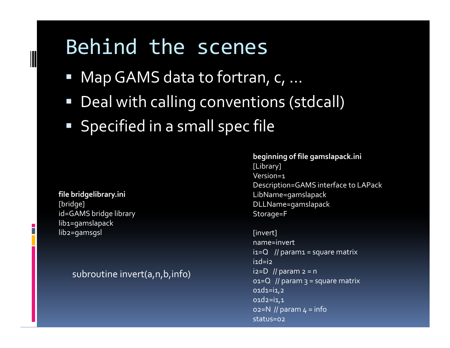## Behind the scenes

- Map GAMS data to fortran, c, ...
- Deal with calling conventions (stdcall)
- Specified in a small spec file

#### file bridgelibrary.ini[bridge] id=GAMS bridge librarylib1=gamslapacklib2=gamsgsl

### subroutine invert(a,n,b,info)

beginning of file gamslapack.ini[Library]Version=1 Description=GAMS interface to LAPackLibName=gamslapack DLLName=gamslapackStorage=F

[invert]name=invert $i=Q$  // param1 = square matrix  $i1d=iz$ i2=D // param  $2 = n$  o1=Q // param 3 = square matrix  $01d1=i1,2$  o1d2=i1,1 o2=N // param 4 = infostatus=o2